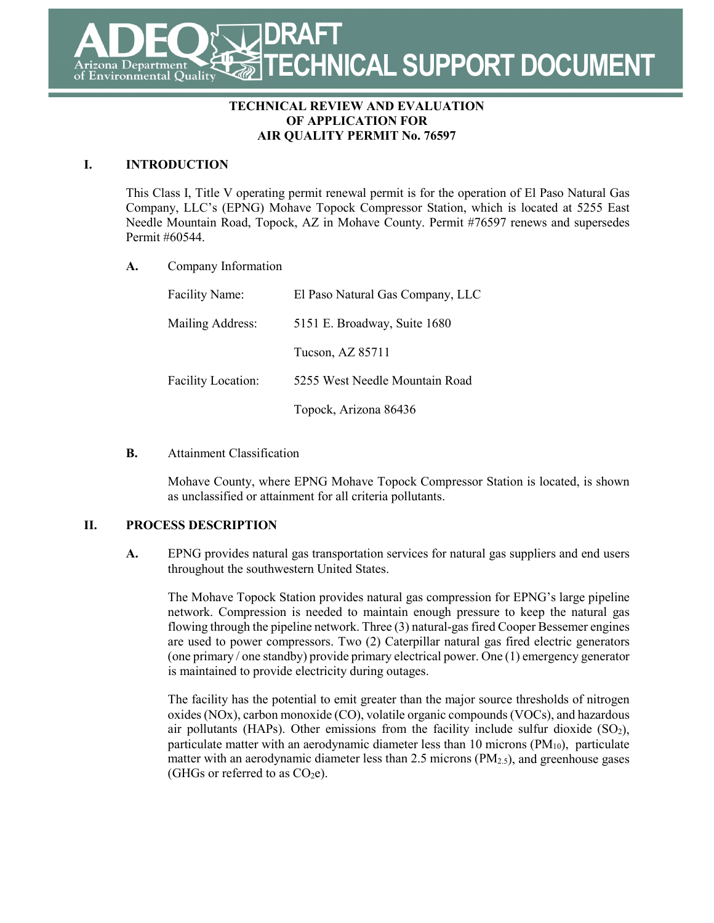**DRAFT TECHNICAL SUPPORT DOCUMENT** Department **Environmental Quality** 

### **TECHNICAL REVIEW AND EVALUATION OF APPLICATION FOR AIR QUALITY PERMIT No. 76597**

### **I. INTRODUCTION**

This Class I, Title V operating permit renewal permit is for the operation of El Paso Natural Gas Company, LLC's (EPNG) Mohave Topock Compressor Station, which is located at 5255 East Needle Mountain Road, Topock, AZ in Mohave County. Permit #76597 renews and supersedes Permit #60544.

**A.** Company Information

| <b>Facility Name:</b> | El Paso Natural Gas Company, LLC |
|-----------------------|----------------------------------|
| Mailing Address:      | 5151 E. Broadway, Suite 1680     |
|                       | Tucson, AZ 85711                 |
| Facility Location:    | 5255 West Needle Mountain Road   |
|                       | Topock, Arizona 86436            |

**B.** Attainment Classification

Mohave County, where EPNG Mohave Topock Compressor Station is located, is shown as unclassified or attainment for all criteria pollutants.

### **II. PROCESS DESCRIPTION**

**A.** EPNG provides natural gas transportation services for natural gas suppliers and end users throughout the southwestern United States.

The Mohave Topock Station provides natural gas compression for EPNG's large pipeline network. Compression is needed to maintain enough pressure to keep the natural gas flowing through the pipeline network. Three (3) natural-gas fired Cooper Bessemer engines are used to power compressors. Two (2) Caterpillar natural gas fired electric generators (one primary / one standby) provide primary electrical power. One (1) emergency generator is maintained to provide electricity during outages.

The facility has the potential to emit greater than the major source thresholds of nitrogen oxides (NOx), carbon monoxide (CO), volatile organic compounds (VOCs), and hazardous air pollutants (HAPs). Other emissions from the facility include sulfur dioxide  $(SO<sub>2</sub>)$ , particulate matter with an aerodynamic diameter less than 10 microns  $(PM_{10})$ , particulate matter with an aerodynamic diameter less than 2.5 microns  $(PM_{2.5})$ , and greenhouse gases (GHGs or referred to as  $CO<sub>2</sub>e$ ).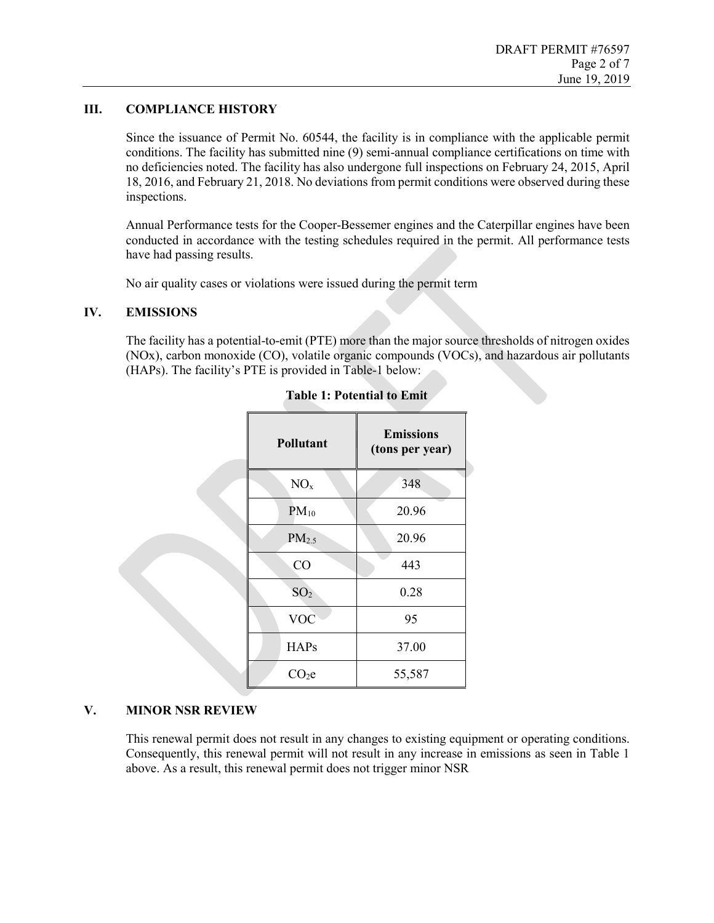## **III. COMPLIANCE HISTORY**

Since the issuance of Permit No. 60544, the facility is in compliance with the applicable permit conditions. The facility has submitted nine (9) semi-annual compliance certifications on time with no deficiencies noted. The facility has also undergone full inspections on February 24, 2015, April 18, 2016, and February 21, 2018. No deviations from permit conditions were observed during these inspections.

Annual Performance tests for the Cooper-Bessemer engines and the Caterpillar engines have been conducted in accordance with the testing schedules required in the permit. All performance tests have had passing results.

No air quality cases or violations were issued during the permit term

### **IV. EMISSIONS**

The facility has a potential-to-emit (PTE) more than the major source thresholds of nitrogen oxides (NOx), carbon monoxide (CO), volatile organic compounds (VOCs), and hazardous air pollutants (HAPs). The facility's PTE is provided in Table-1 below:

| Pollutant         | <b>Emissions</b><br>(tons per year) |
|-------------------|-------------------------------------|
| NO <sub>x</sub>   | 348                                 |
| $PM_{10}$         | 20.96                               |
| PM <sub>2.5</sub> | 20.96                               |
| CO                | 443                                 |
| SO <sub>2</sub>   | 0.28                                |
| <b>VOC</b>        | 95                                  |
| <b>HAPs</b>       | 37.00                               |
| CO <sub>2</sub> e | 55,587                              |

### **Table 1: Potential to Emit**

### **V. MINOR NSR REVIEW**

This renewal permit does not result in any changes to existing equipment or operating conditions. Consequently, this renewal permit will not result in any increase in emissions as seen in Table 1 above. As a result, this renewal permit does not trigger minor NSR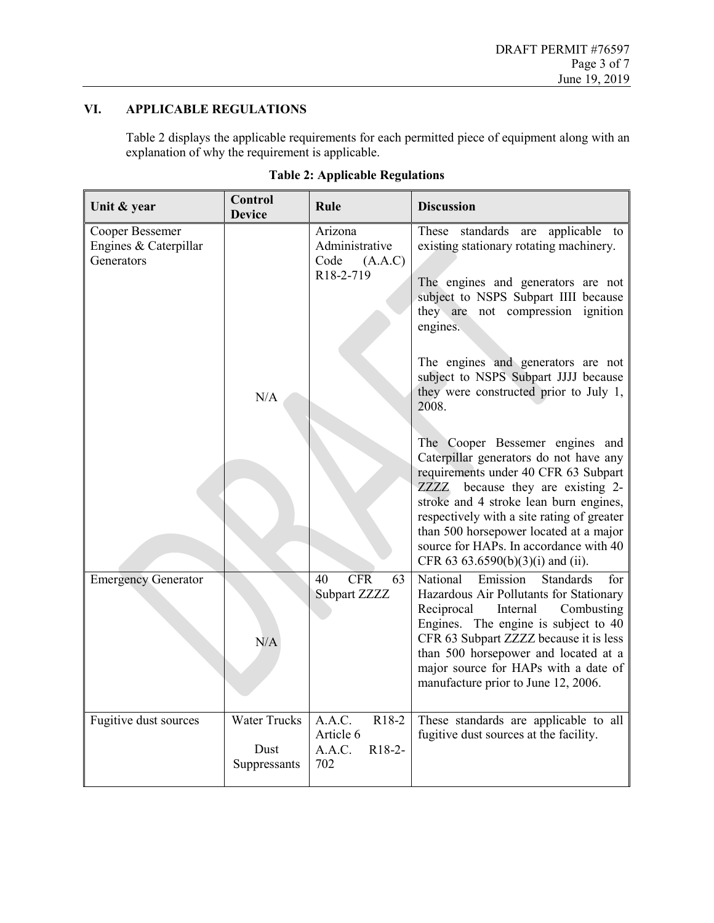# **VI. APPLICABLE REGULATIONS**

Table 2 displays the applicable requirements for each permitted piece of equipment along with an explanation of why the requirement is applicable.

| Unit & year                                            | <b>Control</b><br><b>Device</b>             | Rule                                                                   | <b>Discussion</b>                                                                                                                                                                                                                                                                                                                                                                                                                                                                                                                                                                                                                                 |
|--------------------------------------------------------|---------------------------------------------|------------------------------------------------------------------------|---------------------------------------------------------------------------------------------------------------------------------------------------------------------------------------------------------------------------------------------------------------------------------------------------------------------------------------------------------------------------------------------------------------------------------------------------------------------------------------------------------------------------------------------------------------------------------------------------------------------------------------------------|
| Cooper Bessemer<br>Engines & Caterpillar<br>Generators | N/A                                         | Arizona<br>Administrative<br>Code<br>(A.A.C)<br>R18-2-719              | applicable to<br>These<br>standards<br>are<br>existing stationary rotating machinery.<br>The engines and generators are not<br>subject to NSPS Subpart IIII because<br>they are not compression ignition<br>engines.<br>The engines and generators are not<br>subject to NSPS Subpart JJJJ because<br>they were constructed prior to July 1,<br>2008.<br>The Cooper Bessemer engines and<br>Caterpillar generators do not have any<br>requirements under 40 CFR 63 Subpart<br>ZZZZ because they are existing 2-<br>stroke and 4 stroke lean burn engines,<br>respectively with a site rating of greater<br>than 500 horsepower located at a major |
|                                                        |                                             |                                                                        | source for HAPs. In accordance with 40<br>CFR 63 63.6590(b)(3)(i) and (ii).                                                                                                                                                                                                                                                                                                                                                                                                                                                                                                                                                                       |
| <b>Emergency Generator</b>                             | N/A                                         | <b>CFR</b><br>40<br>63<br>Subpart ZZZZ                                 | National<br>Emission<br><b>Standards</b><br>for<br>Hazardous Air Pollutants for Stationary<br>Reciprocal<br>Combusting<br>Internal<br>Engines. The engine is subject to 40<br>CFR 63 Subpart ZZZZ because it is less<br>than 500 horsepower and located at a<br>major source for HAPs with a date of<br>manufacture prior to June 12, 2006.                                                                                                                                                                                                                                                                                                       |
| Fugitive dust sources                                  | <b>Water Trucks</b><br>Dust<br>Suppressants | A.A.C.<br>$R18-2$<br>Article 6<br>A.A.C.<br>R <sub>18</sub> -2-<br>702 | These standards are applicable to all<br>fugitive dust sources at the facility.                                                                                                                                                                                                                                                                                                                                                                                                                                                                                                                                                                   |

| <b>Table 2: Applicable Regulations</b> |  |
|----------------------------------------|--|
|                                        |  |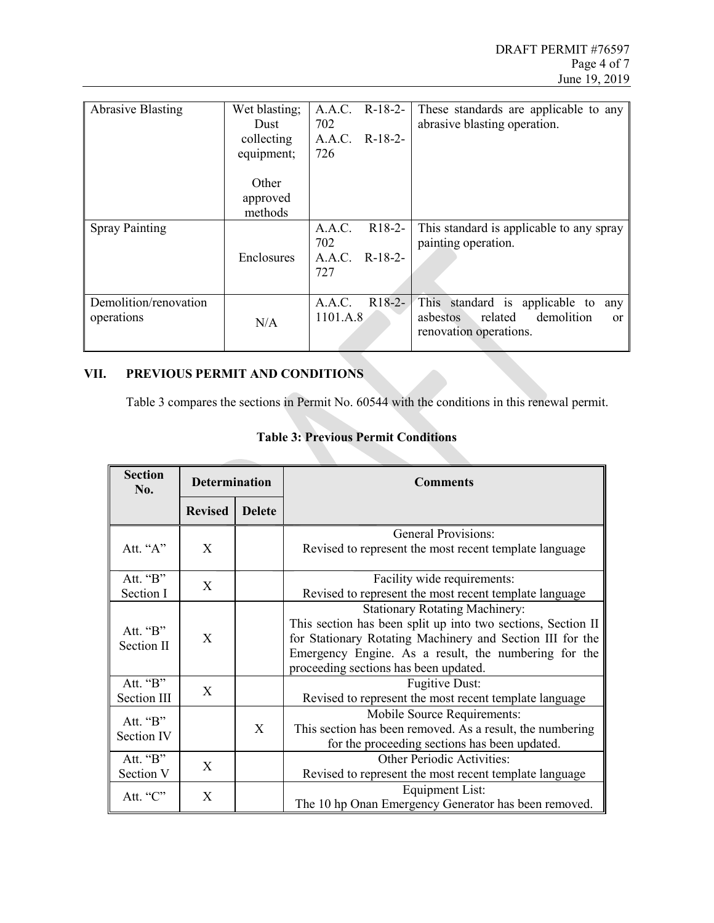| <b>Abrasive Blasting</b>            | Wet blasting;<br>Dust        | 702                | A.A.C. R-18-2- | These standards are applicable to any<br>abrasive blasting operation.                                              |
|-------------------------------------|------------------------------|--------------------|----------------|--------------------------------------------------------------------------------------------------------------------|
|                                     | collecting<br>equipment;     | 726                | A.A.C. R-18-2- |                                                                                                                    |
|                                     | Other<br>approved<br>methods |                    |                |                                                                                                                    |
| <b>Spray Painting</b>               |                              | A.A.C.             | $R18-2-$       | This standard is applicable to any spray                                                                           |
|                                     | Enclosures                   | 702<br>727         | A.A.C. R-18-2- | painting operation.                                                                                                |
| Demolition/renovation<br>operations | N/A                          | A.A.C.<br>1101.A.8 | $R18-2-$       | This standard is applicable to any<br>demolition<br>related<br>asbestos<br><sub>or</sub><br>renovation operations. |

# **VII. PREVIOUS PERMIT AND CONDITIONS**

Table 3 compares the sections in Permit No. 60544 with the conditions in this renewal permit.

| <b>Section</b><br>No.   | <b>Determination</b> |               | <b>Comments</b>                                                                                                                                                                                                                                                     |
|-------------------------|----------------------|---------------|---------------------------------------------------------------------------------------------------------------------------------------------------------------------------------------------------------------------------------------------------------------------|
|                         | <b>Revised</b>       | <b>Delete</b> |                                                                                                                                                                                                                                                                     |
| Att. "A"                | X                    |               | <b>General Provisions:</b><br>Revised to represent the most recent template language                                                                                                                                                                                |
| Att. "B"<br>Section I   | X                    |               | Facility wide requirements:<br>Revised to represent the most recent template language                                                                                                                                                                               |
| Att. "B"<br>Section II  | X                    |               | <b>Stationary Rotating Machinery:</b><br>This section has been split up into two sections, Section II<br>for Stationary Rotating Machinery and Section III for the<br>Emergency Engine. As a result, the numbering for the<br>proceeding sections has been updated. |
| Att. "B"<br>Section III | X                    |               | <b>Fugitive Dust:</b><br>Revised to represent the most recent template language                                                                                                                                                                                     |
| Att. "B"<br>Section IV  |                      | X             | Mobile Source Requirements:<br>This section has been removed. As a result, the numbering<br>for the proceeding sections has been updated.                                                                                                                           |
| Att. "B"<br>Section V   | X                    |               | Other Periodic Activities:<br>Revised to represent the most recent template language                                                                                                                                                                                |
| Att. "C"                | X                    |               | <b>Equipment List:</b><br>The 10 hp Onan Emergency Generator has been removed.                                                                                                                                                                                      |

# **Table 3: Previous Permit Conditions**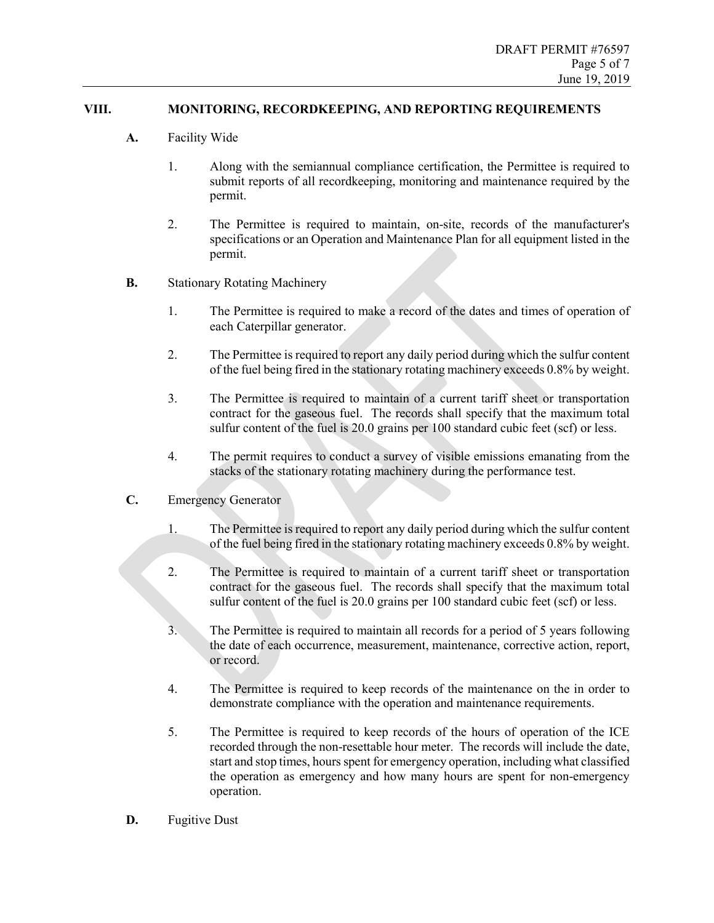## **VIII. MONITORING, RECORDKEEPING, AND REPORTING REQUIREMENTS**

- **A.** Facility Wide
	- 1. Along with the semiannual compliance certification, the Permittee is required to submit reports of all recordkeeping, monitoring and maintenance required by the permit.
	- 2. The Permittee is required to maintain, on-site, records of the manufacturer's specifications or an Operation and Maintenance Plan for all equipment listed in the permit.
- **B.** Stationary Rotating Machinery
	- 1. The Permittee is required to make a record of the dates and times of operation of each Caterpillar generator.
	- 2. The Permittee is required to report any daily period during which the sulfur content of the fuel being fired in the stationary rotating machinery exceeds 0.8% by weight.
	- 3. The Permittee is required to maintain of a current tariff sheet or transportation contract for the gaseous fuel. The records shall specify that the maximum total sulfur content of the fuel is 20.0 grains per 100 standard cubic feet (scf) or less.
	- 4. The permit requires to conduct a survey of visible emissions emanating from the stacks of the stationary rotating machinery during the performance test.
- **C.** Emergency Generator
	- 1. The Permittee is required to report any daily period during which the sulfur content of the fuel being fired in the stationary rotating machinery exceeds 0.8% by weight.
	- 2. The Permittee is required to maintain of a current tariff sheet or transportation contract for the gaseous fuel. The records shall specify that the maximum total sulfur content of the fuel is 20.0 grains per 100 standard cubic feet (scf) or less.
	- 3. The Permittee is required to maintain all records for a period of 5 years following the date of each occurrence, measurement, maintenance, corrective action, report, or record.
	- 4. The Permittee is required to keep records of the maintenance on the in order to demonstrate compliance with the operation and maintenance requirements.
	- 5. The Permittee is required to keep records of the hours of operation of the ICE recorded through the non-resettable hour meter. The records will include the date, start and stop times, hours spent for emergency operation, including what classified the operation as emergency and how many hours are spent for non-emergency operation.
- **D.** Fugitive Dust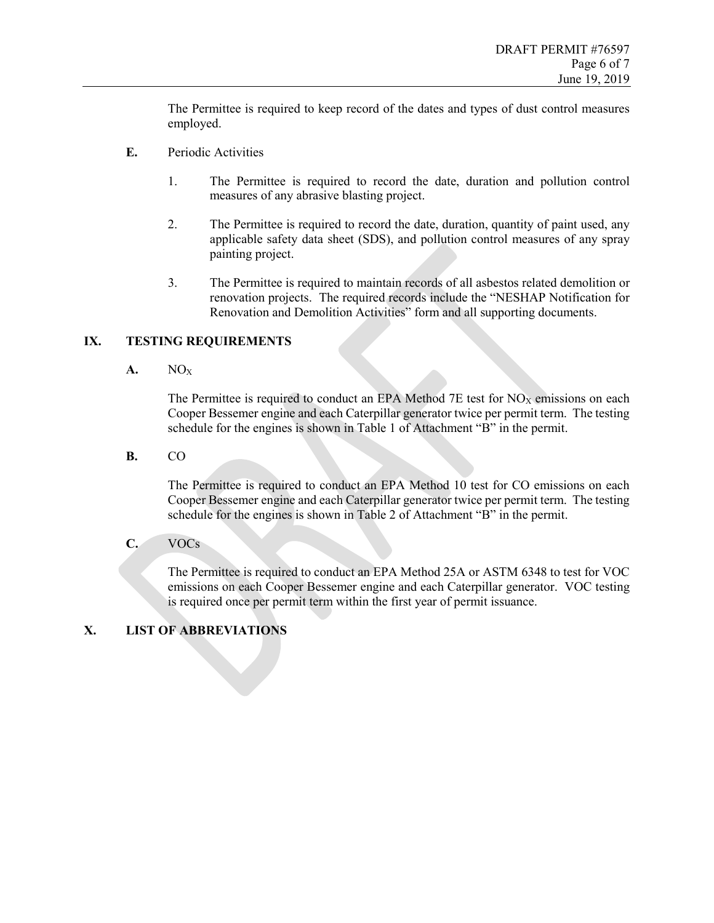The Permittee is required to keep record of the dates and types of dust control measures employed.

- **E.** Periodic Activities
	- 1. The Permittee is required to record the date, duration and pollution control measures of any abrasive blasting project.
	- 2. The Permittee is required to record the date, duration, quantity of paint used, any applicable safety data sheet (SDS), and pollution control measures of any spray painting project.
	- 3. The Permittee is required to maintain records of all asbestos related demolition or renovation projects. The required records include the "NESHAP Notification for Renovation and Demolition Activities" form and all supporting documents.

## **IX. TESTING REQUIREMENTS**

**A.** NOX

The Permittee is required to conduct an EPA Method  $7E$  test for  $NO<sub>X</sub>$  emissions on each Cooper Bessemer engine and each Caterpillar generator twice per permit term. The testing schedule for the engines is shown in Table 1 of Attachment "B" in the permit.

**B.** CO

The Permittee is required to conduct an EPA Method 10 test for CO emissions on each Cooper Bessemer engine and each Caterpillar generator twice per permit term. The testing schedule for the engines is shown in Table 2 of Attachment "B" in the permit.

**C.** VOCs

The Permittee is required to conduct an EPA Method 25A or ASTM 6348 to test for VOC emissions on each Cooper Bessemer engine and each Caterpillar generator. VOC testing is required once per permit term within the first year of permit issuance.

# **X. LIST OF ABBREVIATIONS**